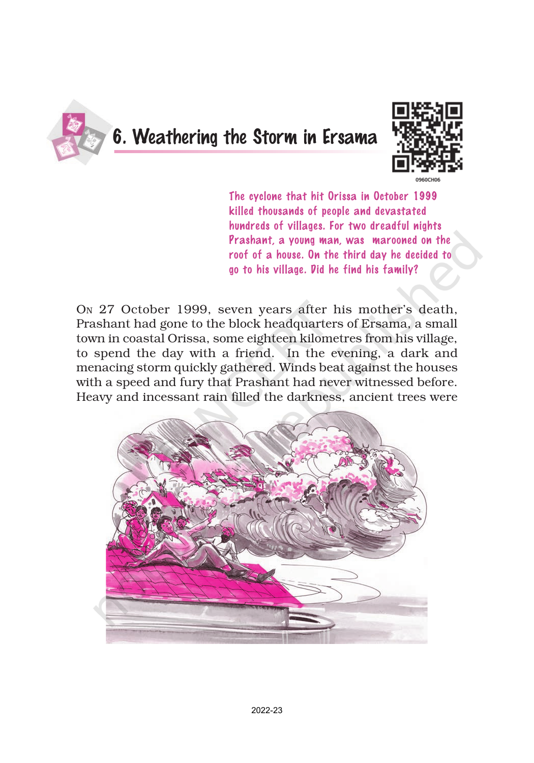

## 6. Weathering the Storm in Ersama



The cyclone that hit Orissa in October 1999 killed thousands of people and devastated hundreds of villages. For two dreadful nights Prashant a voung man, was marooned on the roof of a house. On the third day he decided to go to his village. Did he find his family?

ON 27 October 1999, seven years after his mother's death, Prashant had gone to the block headquarters of Ersama, a small town in coastal Orissa, some eighteen kilometres from his village, to spend the day with a friend. In the evening, a dark and menacing storm quickly gathered. Winds beat against the houses with a speed and fury that Prashant had never witnessed before. Heavy and incessant rain filled the darkness, ancient trees were

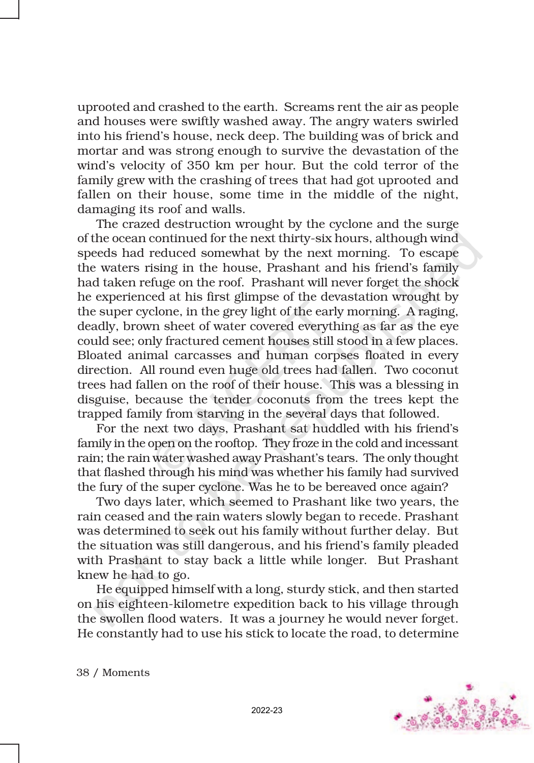uprooted and crashed to the earth. Screams rent the air as people and houses were swiftly washed away. The angry waters swirled into his friend's house, neck deep. The building was of brick and mortar and was strong enough to survive the devastation of the wind's velocity of 350 km per hour. But the cold terror of the family grew with the crashing of trees that had got uprooted and fallen on their house, some time in the middle of the night, damaging its roof and walls.

The crazed destruction wrought by the cyclone and the surge of the ocean continued for the next thirty-six hours, although wind speeds had reduced somewhat by the next morning. To escape the waters rising in the house, Prashant and his friend's family had taken refuge on the roof. Prashant will never forget the shock he experienced at his first glimpse of the devastation wrought by the super cyclone, in the grey light of the early morning. A raging, deadly, brown sheet of water covered everything as far as the eye could see; only fractured cement houses still stood in a few places. Bloated animal carcasses and human corpses floated in every direction. All round even huge old trees had fallen. Two coconut trees had fallen on the roof of their house. This was a blessing in disguise, because the tender coconuts from the trees kept the trapped family from starving in the several days that followed.

For the next two days, Prashant sat huddled with his friend's family in the open on the rooftop. They froze in the cold and incessant rain; the rain water washed away Prashant's tears. The only thought that flashed through his mind was whether his family had survived the fury of the super cyclone. Was he to be bereaved once again?

Two days later, which seemed to Prashant like two years, the rain ceased and the rain waters slowly began to recede. Prashant was determined to seek out his family without further delay. But the situation was still dangerous, and his friend's family pleaded with Prashant to stay back a little while longer. But Prashant knew he had to go.

He equipped himself with a long, sturdy stick, and then started on his eighteen-kilometre expedition back to his village through the swollen flood waters. It was a journey he would never forget. He constantly had to use his stick to locate the road, to determine



38 / Moments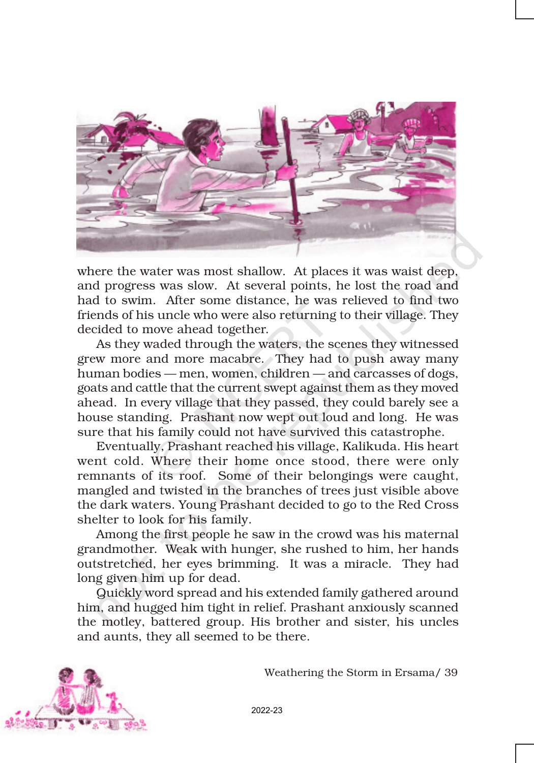

where the water was most shallow. At places it was waist deep, and progress was slow. At several points, he lost the road and had to swim. After some distance, he was relieved to find two friends of his uncle who were also returning to their village. They decided to move ahead together.

As they waded through the waters, the scenes they witnessed grew more and more macabre. They had to push away many human bodies — men, women, children — and carcasses of dogs, goats and cattle that the current swept against them as they moved ahead. In every village that they passed, they could barely see a house standing. Prashant now wept out loud and long. He was sure that his family could not have survived this catastrophe.

Eventually, Prashant reached his village, Kalikuda. His heart went cold. Where their home once stood, there were only remnants of its roof. Some of their belongings were caught, mangled and twisted in the branches of trees just visible above the dark waters. Young Prashant decided to go to the Red Cross shelter to look for his family.

Among the first people he saw in the crowd was his maternal grandmother. Weak with hunger, she rushed to him, her hands outstretched, her eyes brimming. It was a miracle. They had long given him up for dead.

Quickly word spread and his extended family gathered around him, and hugged him tight in relief. Prashant anxiously scanned the motley, battered group. His brother and sister, his uncles and aunts, they all seemed to be there.



Weathering the Storm in Ersama/ 39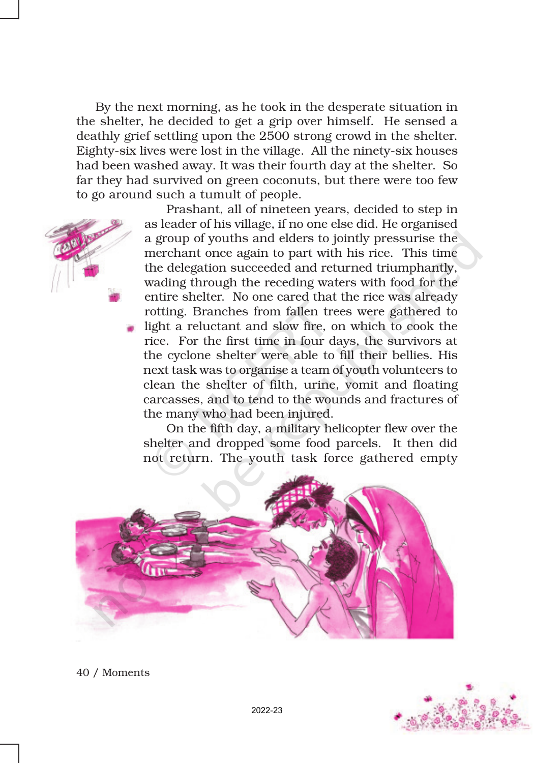By the next morning, as he took in the desperate situation in the shelter, he decided to get a grip over himself. He sensed a deathly grief settling upon the 2500 strong crowd in the shelter. Eighty-six lives were lost in the village. All the ninety-six houses had been washed away. It was their fourth day at the shelter. So far they had survived on green coconuts, but there were too few to go around such a tumult of people.

> Prashant, all of nineteen years, decided to step in as leader of his village, if no one else did. He organised a group of youths and elders to jointly pressurise the merchant once again to part with his rice. This time the delegation succeeded and returned triumphantly, wading through the receding waters with food for the entire shelter. No one cared that the rice was already rotting. Branches from fallen trees were gathered to light a reluctant and slow fire, on which to cook the rice. For the first time in four days, the survivors at the cyclone shelter were able to fill their bellies. His next task was to organise a team of youth volunteers to clean the shelter of filth, urine, vomit and floating carcasses, and to tend to the wounds and fractures of the many who had been injured.

On the fifth day, a military helicopter flew over the shelter and dropped some food parcels. It then did not return. The youth task force gathered empty





40 / Moments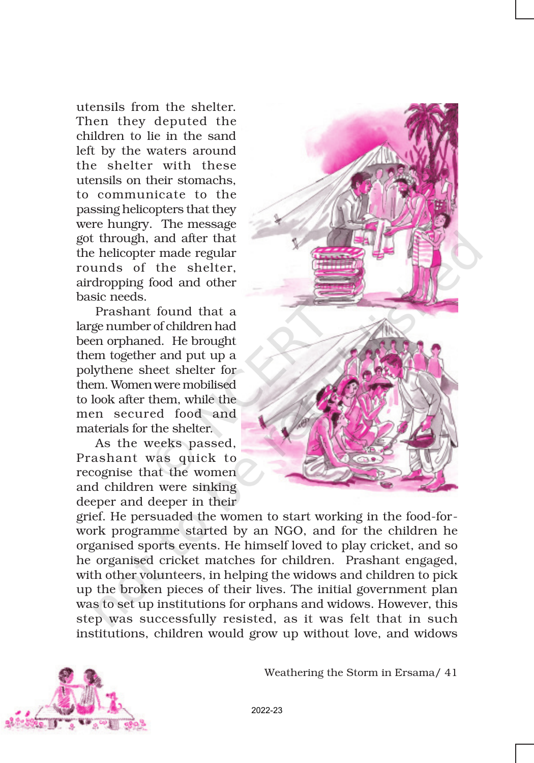utensils from the shelter. Then they deputed the children to lie in the sand left by the waters around the shelter with these utensils on their stomachs, to communicate to the passing helicopters that they were hungry. The message got through, and after that the helicopter made regular rounds of the shelter, airdropping food and other basic needs.

Prashant found that a large number of children had been orphaned. He brought them together and put up a polythene sheet shelter for them. Women were mobilised to look after them, while the men secured food and materials for the shelter.

As the weeks passed, Prashant was quick to recognise that the women and children were sinking deeper and deeper in their



grief. He persuaded the women to start working in the food-forwork programme started by an NGO, and for the children he organised sports events. He himself loved to play cricket, and so he organised cricket matches for children. Prashant engaged, with other volunteers, in helping the widows and children to pick up the broken pieces of their lives. The initial government plan was to set up institutions for orphans and widows. However, this step was successfully resisted, as it was felt that in such institutions, children would grow up without love, and widows



Weathering the Storm in Ersama/ 41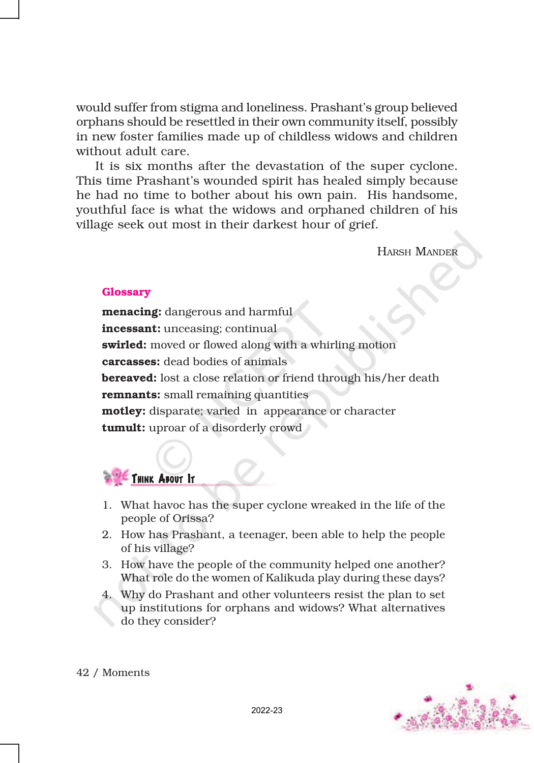would suffer from stigma and loneliness. Prashant's group believed orphans should be resettled in their own community itself, possibly in new foster families made up of childless widows and children without adult care.

It is six months after the devastation of the super cyclone. This time Prashant's wounded spirit has healed simply because he had no time to bother about his own pain. His handsome, youthful face is what the widows and orphaned children of his village seek out most in their darkest hour of grief.

HARSH MANDER

## **Glossary**

menacing: dangerous and harmful incessant: unceasing; continual swirled: moved or flowed along with a whirling motion carcasses: dead bodies of animals **bereaved:** lost a close relation or friend through his/her death **remnants:** small remaining quantities motley: disparate; varied in appearance or character **tumult:** uproar of a disorderly crowd



- 1. What havoc has the super cyclone wreaked in the life of the people of Orissa?
- 2. How has Prashant, a teenager, been able to help the people of his village?
- 3. How have the people of the community helped one another? What role do the women of Kalikuda play during these days?
- 4. Why do Prashant and other volunteers resist the plan to set up institutions for orphans and widows? What alternatives do they consider?